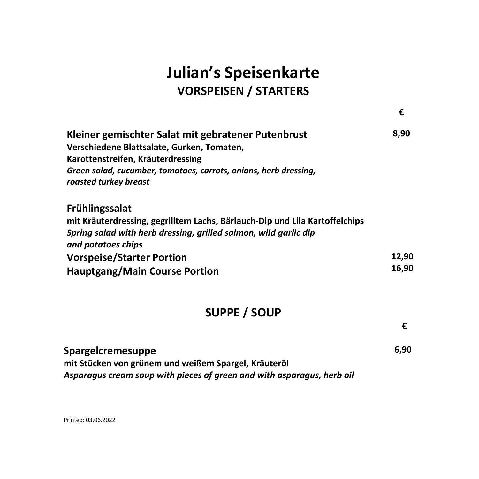# **Julian's Speisenkarte VORSPEISEN / STARTERS**

**€**

**€**

| Kleiner gemischter Salat mit gebratener Putenbrust<br>Verschiedene Blattsalate, Gurken, Tomaten,<br>Karottenstreifen, Kräuterdressing<br>Green salad, cucumber, tomatoes, carrots, onions, herb dressing,<br>roasted turkey breast                                         | 8,90           |
|----------------------------------------------------------------------------------------------------------------------------------------------------------------------------------------------------------------------------------------------------------------------------|----------------|
| <b>Frühlingssalat</b><br>mit Kräuterdressing, gegrilltem Lachs, Bärlauch-Dip und Lila Kartoffelchips<br>Spring salad with herb dressing, grilled salmon, wild garlic dip<br>and potatoes chips<br><b>Vorspeise/Starter Portion</b><br><b>Hauptgang/Main Course Portion</b> | 12.90<br>16,90 |

### **SUPPE / SOUP**

| Spargelcremesuppe                                                      | 6,90 |
|------------------------------------------------------------------------|------|
| mit Stücken von grünem und weißem Spargel, Kräuteröl                   |      |
| Asparagus cream soup with pieces of green and with asparagus, herb oil |      |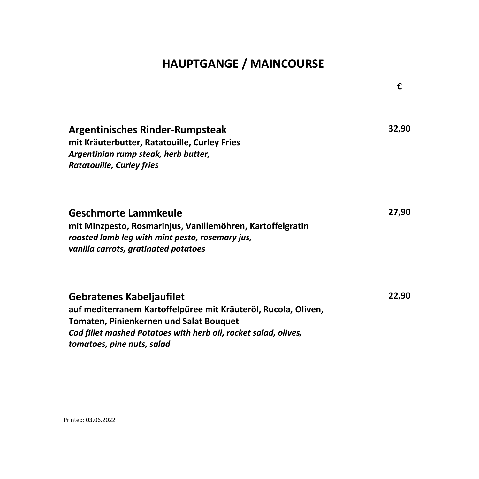### **HAUPTGANGE / MAINCOURSE**

|                                                                                                                                                                                                                                        | €     |
|----------------------------------------------------------------------------------------------------------------------------------------------------------------------------------------------------------------------------------------|-------|
| <b>Argentinisches Rinder-Rumpsteak</b><br>mit Kräuterbutter, Ratatouille, Curley Fries<br>Argentinian rump steak, herb butter,<br><b>Ratatouille, Curley fries</b>                                                                     | 32,90 |
| <b>Geschmorte Lammkeule</b><br>mit Minzpesto, Rosmarinjus, Vanillemöhren, Kartoffelgratin<br>roasted lamb leg with mint pesto, rosemary jus,<br>vanilla carrots, gratinated potatoes                                                   | 27,90 |
| Gebratenes Kabeljaufilet<br>auf mediterranem Kartoffelpüree mit Kräuteröl, Rucola, Oliven,<br>Tomaten, Pinienkernen und Salat Bouquet<br>Cod fillet mashed Potatoes with herb oil, rocket salad, olives,<br>tomatoes, pine nuts, salad | 22,90 |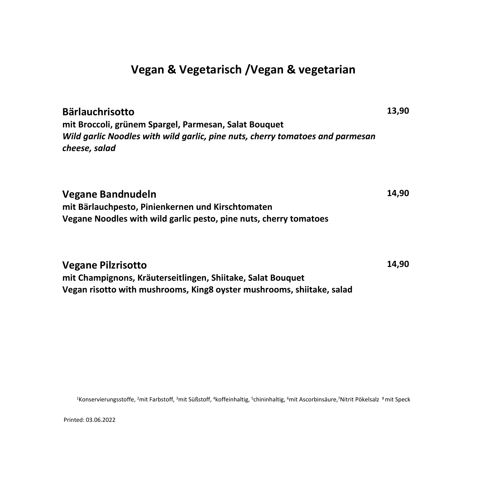#### **Vegan & Vegetarisch /Vegan & vegetarian**

**Bärlauchrisotto mit Broccoli, grünem Spargel, Parmesan, Salat Bouquet** *Wild garlic Noodles with wild garlic, pine nuts, cherry tomatoes and parmesan cheese, salad*  **13,90**

**Vegane Bandnudeln mit Bärlauchpesto, Pinienkernen und Kirschtomaten Vegane Noodles with wild garlic pesto, pine nuts, cherry tomatoes 14,90**

**Vegane Pilzrisotto mit Champignons, Kräuterseitlingen, Shiitake, Salat Bouquet Vegan risotto with mushrooms, King8 oyster mushrooms, shiitake, salad 14,90**

<sup>1</sup>Konservierungsstoffe, <sup>2</sup>mit Farbstoff, <sup>3</sup>mit Süßstoff, <sup>4</sup>koffeinhaltig, <sup>5</sup>chininhaltig, <sup>6</sup>mit Ascorbinsäure,<sup>7</sup>Nitrit Pökelsalz <sup>8</sup>mit Speck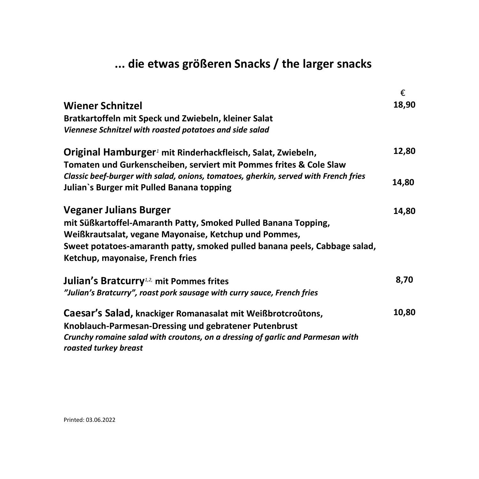## **... die etwas größeren Snacks / the larger snacks**

|                                                                                                         | €     |
|---------------------------------------------------------------------------------------------------------|-------|
| <b>Wiener Schnitzel</b>                                                                                 | 18,90 |
| Bratkartoffeln mit Speck und Zwiebeln, kleiner Salat                                                    |       |
| Viennese Schnitzel with roasted potatoes and side salad                                                 |       |
| Original Hamburger <sup>1</sup> mit Rinderhackfleisch, Salat, Zwiebeln,                                 | 12,80 |
| Tomaten und Gurkenscheiben, serviert mit Pommes frites & Cole Slaw                                      |       |
| Classic beef-burger with salad, onions, tomatoes, gherkin, served with French fries                     |       |
| Julian's Burger mit Pulled Banana topping                                                               | 14,80 |
| <b>Veganer Julians Burger</b>                                                                           | 14,80 |
| mit Süßkartoffel-Amaranth Patty, Smoked Pulled Banana Topping,                                          |       |
| Weißkrautsalat, vegane Mayonaise, Ketchup und Pommes,                                                   |       |
| Sweet potatoes-amaranth patty, smoked pulled banana peels, Cabbage salad,                               |       |
| Ketchup, mayonaise, French fries                                                                        |       |
| Julian's Bratcurry <sup>1,2</sup> mit Pommes frites                                                     | 8,70  |
| "Julian's Bratcurry", roast pork sausage with curry sauce, French fries                                 |       |
| Caesar's Salad, knackiger Romanasalat mit Weißbrotcroûtons,                                             | 10,80 |
| Knoblauch-Parmesan-Dressing und gebratener Putenbrust                                                   |       |
| Crunchy romaine salad with croutons, on a dressing of garlic and Parmesan with<br>roasted turkey breast |       |